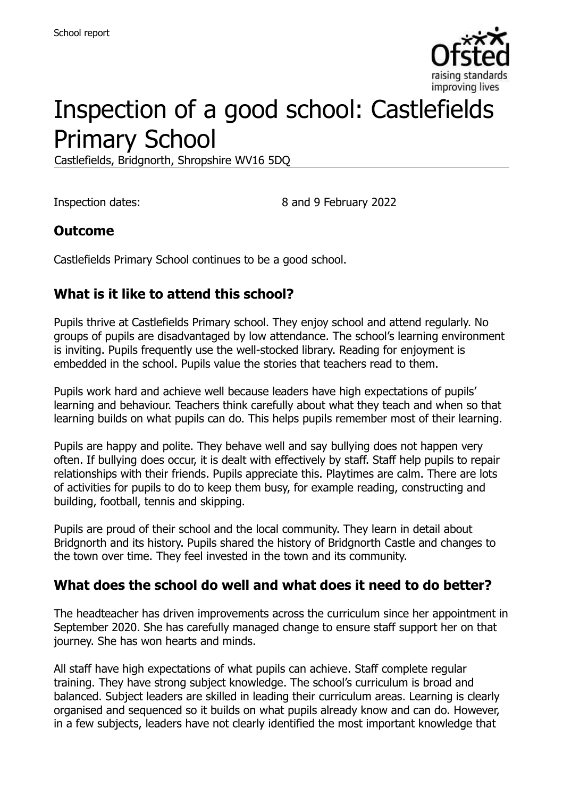

# Inspection of a good school: Castlefields Primary School

Castlefields, Bridgnorth, Shropshire WV16 5DQ

Inspection dates: 8 and 9 February 2022

## **Outcome**

Castlefields Primary School continues to be a good school.

## **What is it like to attend this school?**

Pupils thrive at Castlefields Primary school. They enjoy school and attend regularly. No groups of pupils are disadvantaged by low attendance. The school's learning environment is inviting. Pupils frequently use the well-stocked library. Reading for enjoyment is embedded in the school. Pupils value the stories that teachers read to them.

Pupils work hard and achieve well because leaders have high expectations of pupils' learning and behaviour. Teachers think carefully about what they teach and when so that learning builds on what pupils can do. This helps pupils remember most of their learning.

Pupils are happy and polite. They behave well and say bullying does not happen very often. If bullying does occur, it is dealt with effectively by staff. Staff help pupils to repair relationships with their friends. Pupils appreciate this. Playtimes are calm. There are lots of activities for pupils to do to keep them busy, for example reading, constructing and building, football, tennis and skipping.

Pupils are proud of their school and the local community. They learn in detail about Bridgnorth and its history. Pupils shared the history of Bridgnorth Castle and changes to the town over time. They feel invested in the town and its community.

## **What does the school do well and what does it need to do better?**

The headteacher has driven improvements across the curriculum since her appointment in September 2020. She has carefully managed change to ensure staff support her on that journey. She has won hearts and minds.

All staff have high expectations of what pupils can achieve. Staff complete regular training. They have strong subject knowledge. The school's curriculum is broad and balanced. Subject leaders are skilled in leading their curriculum areas. Learning is clearly organised and sequenced so it builds on what pupils already know and can do. However, in a few subjects, leaders have not clearly identified the most important knowledge that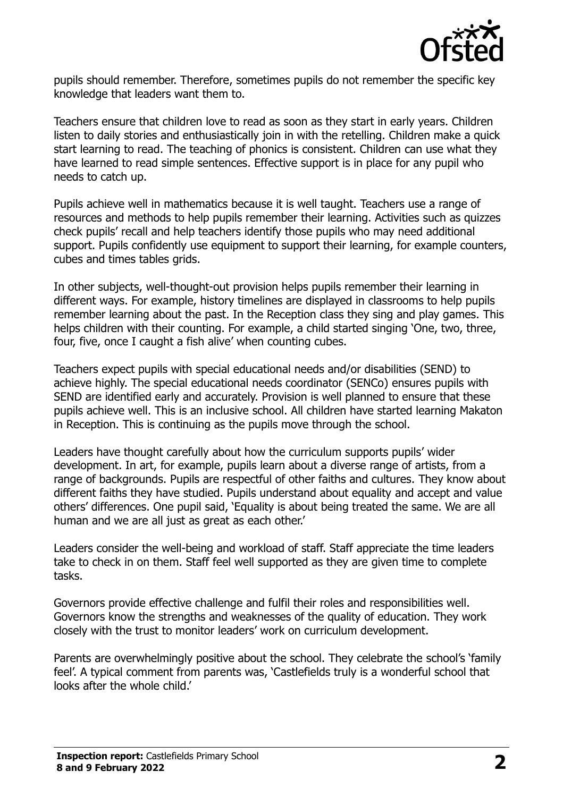

pupils should remember. Therefore, sometimes pupils do not remember the specific key knowledge that leaders want them to.

Teachers ensure that children love to read as soon as they start in early years. Children listen to daily stories and enthusiastically join in with the retelling. Children make a quick start learning to read. The teaching of phonics is consistent. Children can use what they have learned to read simple sentences. Effective support is in place for any pupil who needs to catch up.

Pupils achieve well in mathematics because it is well taught. Teachers use a range of resources and methods to help pupils remember their learning. Activities such as quizzes check pupils' recall and help teachers identify those pupils who may need additional support. Pupils confidently use equipment to support their learning, for example counters, cubes and times tables grids.

In other subjects, well-thought-out provision helps pupils remember their learning in different ways. For example, history timelines are displayed in classrooms to help pupils remember learning about the past. In the Reception class they sing and play games. This helps children with their counting. For example, a child started singing 'One, two, three, four, five, once I caught a fish alive' when counting cubes.

Teachers expect pupils with special educational needs and/or disabilities (SEND) to achieve highly. The special educational needs coordinator (SENCo) ensures pupils with SEND are identified early and accurately. Provision is well planned to ensure that these pupils achieve well. This is an inclusive school. All children have started learning Makaton in Reception. This is continuing as the pupils move through the school.

Leaders have thought carefully about how the curriculum supports pupils' wider development. In art, for example, pupils learn about a diverse range of artists, from a range of backgrounds. Pupils are respectful of other faiths and cultures. They know about different faiths they have studied. Pupils understand about equality and accept and value others' differences. One pupil said, 'Equality is about being treated the same. We are all human and we are all just as great as each other.'

Leaders consider the well-being and workload of staff. Staff appreciate the time leaders take to check in on them. Staff feel well supported as they are given time to complete tasks.

Governors provide effective challenge and fulfil their roles and responsibilities well. Governors know the strengths and weaknesses of the quality of education. They work closely with the trust to monitor leaders' work on curriculum development.

Parents are overwhelmingly positive about the school. They celebrate the school's 'family feel'. A typical comment from parents was, 'Castlefields truly is a wonderful school that looks after the whole child.'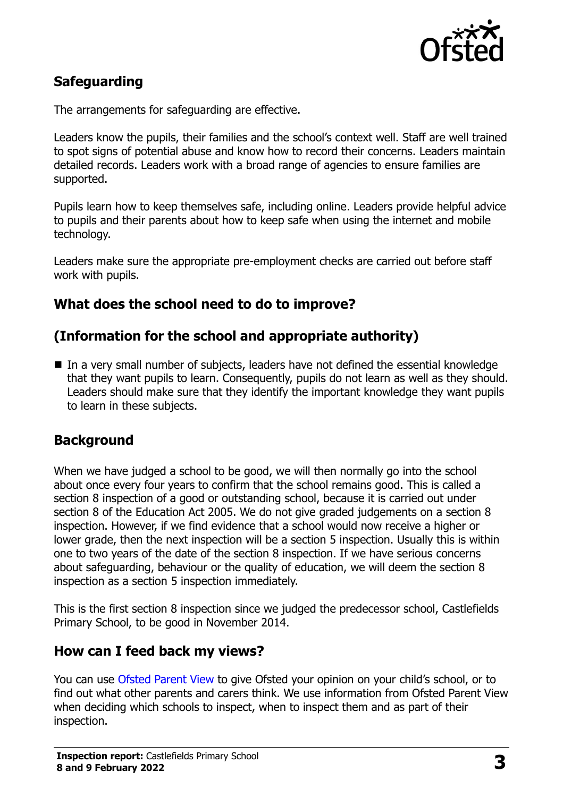

## **Safeguarding**

The arrangements for safeguarding are effective.

Leaders know the pupils, their families and the school's context well. Staff are well trained to spot signs of potential abuse and know how to record their concerns. Leaders maintain detailed records. Leaders work with a broad range of agencies to ensure families are supported.

Pupils learn how to keep themselves safe, including online. Leaders provide helpful advice to pupils and their parents about how to keep safe when using the internet and mobile technology.

Leaders make sure the appropriate pre-employment checks are carried out before staff work with pupils.

## **What does the school need to do to improve?**

### **(Information for the school and appropriate authority)**

■ In a very small number of subjects, leaders have not defined the essential knowledge that they want pupils to learn. Consequently, pupils do not learn as well as they should. Leaders should make sure that they identify the important knowledge they want pupils to learn in these subjects.

#### **Background**

When we have judged a school to be good, we will then normally go into the school about once every four years to confirm that the school remains good. This is called a section 8 inspection of a good or outstanding school, because it is carried out under section 8 of the Education Act 2005. We do not give graded judgements on a section 8 inspection. However, if we find evidence that a school would now receive a higher or lower grade, then the next inspection will be a section 5 inspection. Usually this is within one to two years of the date of the section 8 inspection. If we have serious concerns about safeguarding, behaviour or the quality of education, we will deem the section 8 inspection as a section 5 inspection immediately.

This is the first section 8 inspection since we judged the predecessor school, Castlefields Primary School, to be good in November 2014.

#### **How can I feed back my views?**

You can use [Ofsted Parent View](https://parentview.ofsted.gov.uk/) to give Ofsted your opinion on your child's school, or to find out what other parents and carers think. We use information from Ofsted Parent View when deciding which schools to inspect, when to inspect them and as part of their inspection.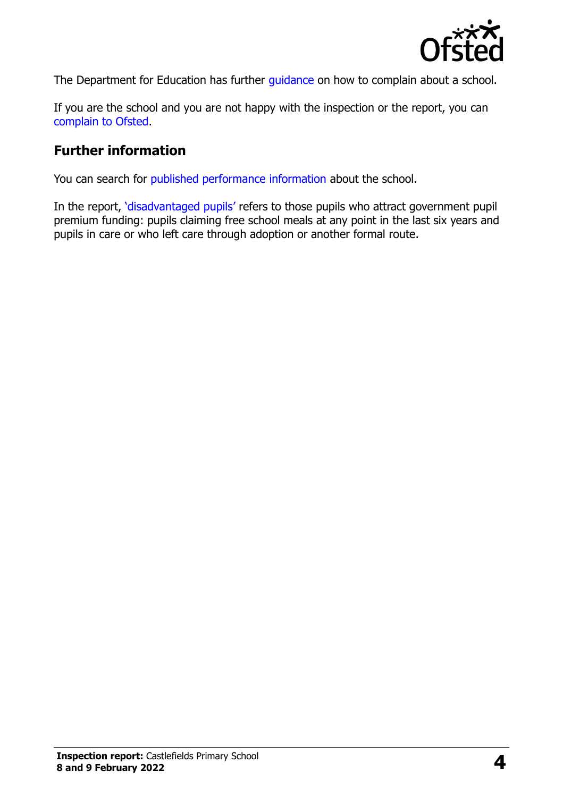

The Department for Education has further quidance on how to complain about a school.

If you are the school and you are not happy with the inspection or the report, you can [complain to Ofsted.](https://www.gov.uk/complain-ofsted-report)

### **Further information**

You can search for [published performance information](http://www.compare-school-performance.service.gov.uk/) about the school.

In the report, '[disadvantaged pupils](http://www.gov.uk/guidance/pupil-premium-information-for-schools-and-alternative-provision-settings)' refers to those pupils who attract government pupil premium funding: pupils claiming free school meals at any point in the last six years and pupils in care or who left care through adoption or another formal route.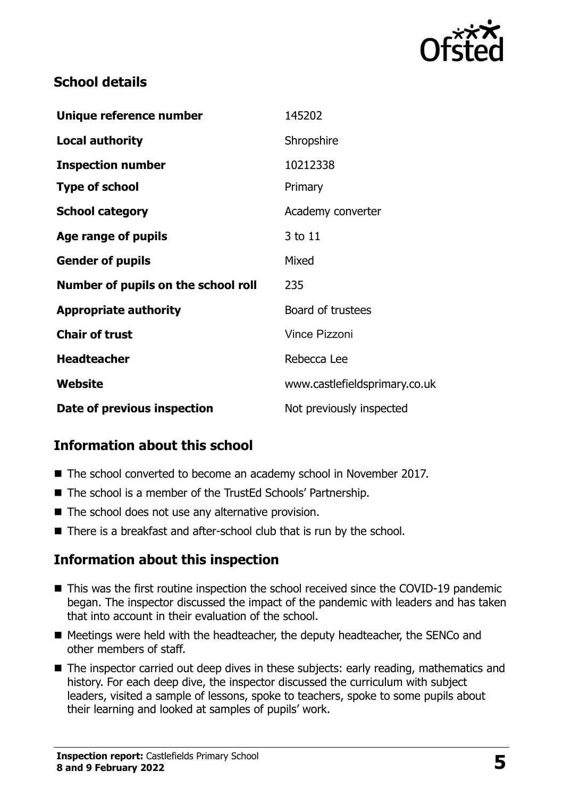

## **School details**

| Unique reference number             | 145202                        |
|-------------------------------------|-------------------------------|
| <b>Local authority</b>              | Shropshire                    |
| <b>Inspection number</b>            | 10212338                      |
| <b>Type of school</b>               | Primary                       |
| <b>School category</b>              | Academy converter             |
| Age range of pupils                 | 3 to 11                       |
| <b>Gender of pupils</b>             | Mixed                         |
| Number of pupils on the school roll | 235                           |
| <b>Appropriate authority</b>        | Board of trustees             |
| <b>Chair of trust</b>               | <b>Vince Pizzoni</b>          |
| <b>Headteacher</b>                  | Rebecca Lee                   |
| Website                             | www.castlefieldsprimary.co.uk |
| Date of previous inspection         | Not previously inspected      |

## **Information about this school**

- The school converted to become an academy school in November 2017.
- The school is a member of the TrustEd Schools' Partnership.
- The school does not use any alternative provision.
- There is a breakfast and after-school club that is run by the school.

## **Information about this inspection**

- This was the first routine inspection the school received since the COVID-19 pandemic began. The inspector discussed the impact of the pandemic with leaders and has taken that into account in their evaluation of the school.
- Meetings were held with the headteacher, the deputy headteacher, the SENCo and other members of staff.
- The inspector carried out deep dives in these subjects: early reading, mathematics and history. For each deep dive, the inspector discussed the curriculum with subject leaders, visited a sample of lessons, spoke to teachers, spoke to some pupils about their learning and looked at samples of pupils' work.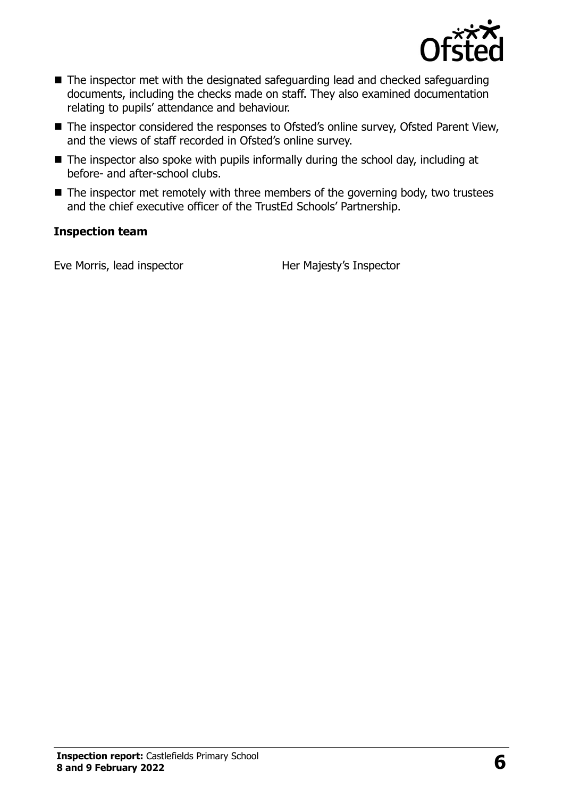

- The inspector met with the designated safeguarding lead and checked safeguarding documents, including the checks made on staff. They also examined documentation relating to pupils' attendance and behaviour.
- The inspector considered the responses to Ofsted's online survey, Ofsted Parent View, and the views of staff recorded in Ofsted's online survey.
- The inspector also spoke with pupils informally during the school day, including at before- and after-school clubs.
- $\blacksquare$  The inspector met remotely with three members of the governing body, two trustees and the chief executive officer of the TrustEd Schools' Partnership.

#### **Inspection team**

Eve Morris, lead inspector **Her Majesty's Inspector**